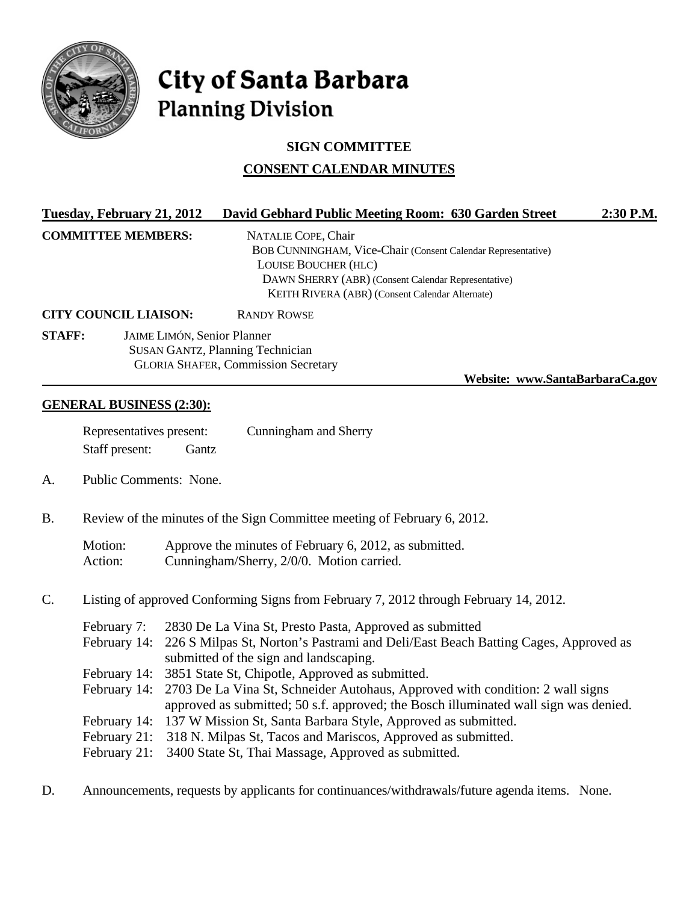

# City of Santa Barbara **Planning Division**

## **SIGN COMMITTEE**

## **CONSENT CALENDAR MINUTES**

| Tuesday, February 21, 2012   |                                                                                       |                                                                                                                                                                                                     | David Gebhard Public Meeting Room: 630 Garden Street                                                                                                                                                                         | 2:30 P.M. |  |
|------------------------------|---------------------------------------------------------------------------------------|-----------------------------------------------------------------------------------------------------------------------------------------------------------------------------------------------------|------------------------------------------------------------------------------------------------------------------------------------------------------------------------------------------------------------------------------|-----------|--|
|                              | <b>COMMITTEE MEMBERS:</b>                                                             |                                                                                                                                                                                                     | NATALIE COPE, Chair<br>BOB CUNNINGHAM, Vice-Chair (Consent Calendar Representative)<br><b>LOUISE BOUCHER (HLC)</b><br>DAWN SHERRY (ABR) (Consent Calendar Representative)<br>KEITH RIVERA (ABR) (Consent Calendar Alternate) |           |  |
| <b>CITY COUNCIL LIAISON:</b> |                                                                                       |                                                                                                                                                                                                     | <b>RANDY ROWSE</b>                                                                                                                                                                                                           |           |  |
| <b>STAFF:</b>                |                                                                                       | JAIME LIMÓN, Senior Planner                                                                                                                                                                         | <b>SUSAN GANTZ, Planning Technician</b><br><b>GLORIA SHAFER, Commission Secretary</b><br>Website: www.SantaBarbaraCa.gov                                                                                                     |           |  |
|                              | <b>GENERAL BUSINESS (2:30):</b>                                                       |                                                                                                                                                                                                     |                                                                                                                                                                                                                              |           |  |
|                              | Representatives present:<br>Staff present:                                            | Gantz                                                                                                                                                                                               | Cunningham and Sherry                                                                                                                                                                                                        |           |  |
| A.                           |                                                                                       | Public Comments: None.                                                                                                                                                                              |                                                                                                                                                                                                                              |           |  |
| <b>B.</b>                    | Review of the minutes of the Sign Committee meeting of February 6, 2012.              |                                                                                                                                                                                                     |                                                                                                                                                                                                                              |           |  |
|                              | Motion:<br>Action:                                                                    |                                                                                                                                                                                                     | Approve the minutes of February 6, 2012, as submitted.<br>Cunningham/Sherry, 2/0/0. Motion carried.                                                                                                                          |           |  |
| $\mathbf{C}$ .               | Listing of approved Conforming Signs from February 7, 2012 through February 14, 2012. |                                                                                                                                                                                                     |                                                                                                                                                                                                                              |           |  |
|                              | February 7:                                                                           | 2830 De La Vina St, Presto Pasta, Approved as submitted<br>February 14: 226 S Milpas St, Norton's Pastrami and Deli/East Beach Batting Cages, Approved as<br>submitted of the sign and landscaping. |                                                                                                                                                                                                                              |           |  |

- February 14: 3851 State St, Chipotle, Approved as submitted.
- February 14: 2703 De La Vina St, Schneider Autohaus, Approved with condition: 2 wall signs approved as submitted; 50 s.f. approved; the Bosch illuminated wall sign was denied.
- February 14: 137 W Mission St, Santa Barbara Style, Approved as submitted.
- February 21: 318 N. Milpas St, Tacos and Mariscos, Approved as submitted.
- February 21: 3400 State St, Thai Massage, Approved as submitted.
- D. Announcements, requests by applicants for continuances/withdrawals/future agenda items. None.